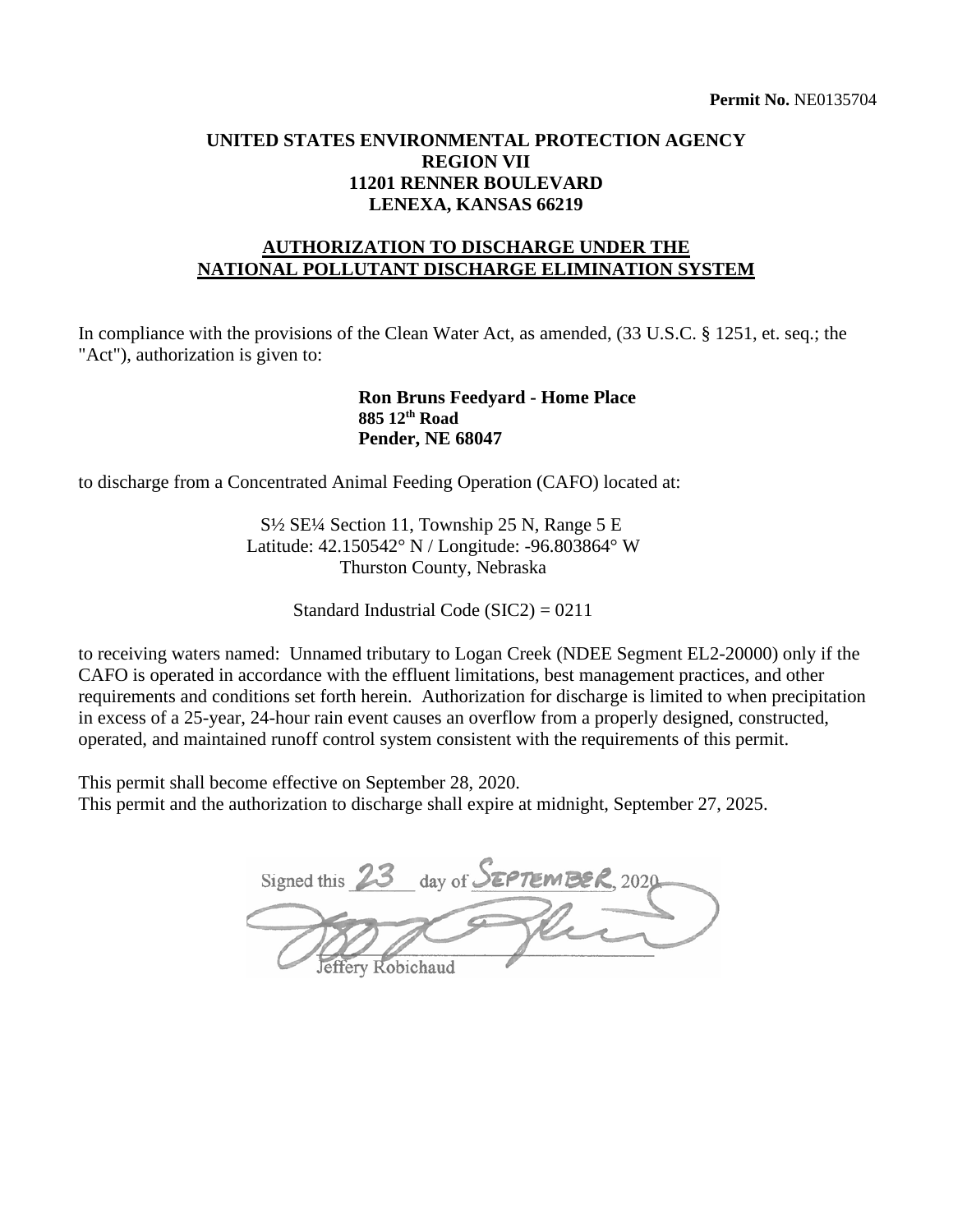## **UNITED STATES ENVIRONMENTAL PROTECTION AGENCY REGION VII 11201 RENNER BOULEVARD LENEXA, KANSAS 66219**

## **AUTHORIZATION TO DISCHARGE UNDER THE NATIONAL POLLUTANT DISCHARGE ELIMINATION SYSTEM**

In compliance with the provisions of the Clean Water Act, as amended,  $(33 \text{ U.S.C.} \text{ § } 1251, \text{ et.} \text{ seq.}; \text{ the }$ "Act"), authorization is given to:

#### **Ron Bruns Feedyard - Home Place 885 12th Road Pender, NE 68047**

to discharge from a Concentrated Animal Feeding Operation (CAFO) located at:

S½ SE¼ Section 11, Township 25 N, Range 5 E Latitude: 42.150542° N / Longitude: -96.803864° W Thurston County, Nebraska

Standard Industrial Code (SIC2) = 0211

to receiving waters named: Unnamed tributary to Logan Creek (NDEE Segment EL2-20000) only if the CAFO is operated in accordance with the effluent limitations, best management practices, and other requirements and conditions set forth herein. Authorization for discharge is limited to when precipitation in excess of a 25-year, 24-hour rain event causes an overflow from a properly designed, constructed, operated, and maintained runoff control system consistent with the requirements of this permit.

This permit shall become effective on September 28, 2020. This permit and the authorization to discharge shall expire at midnight, September 27, 2025.

Signed this 23 day of **SEPTEMBER**, 2020 Phi fery Robichaud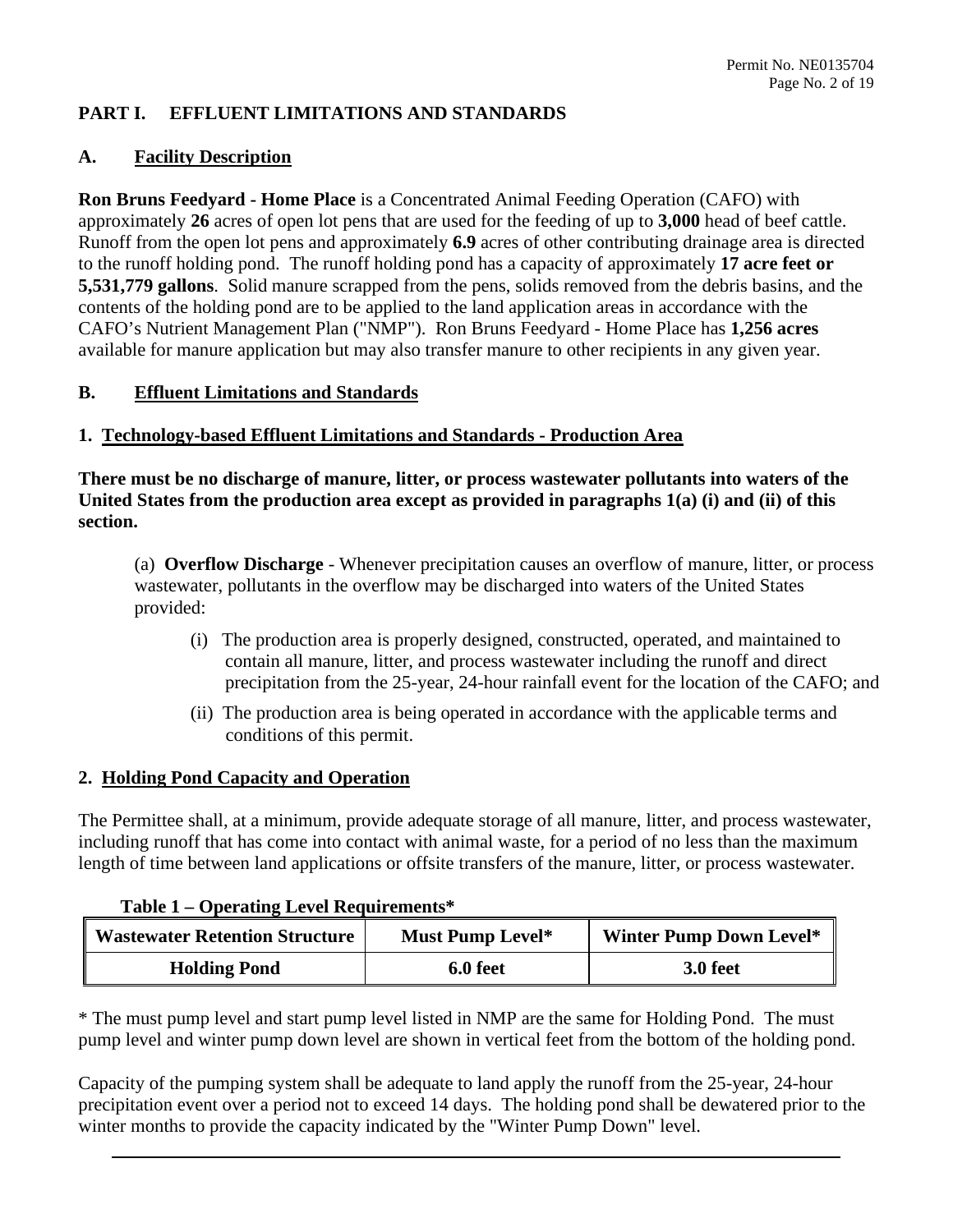#### **PART I. EFFLUENT LIMITATIONS AND STANDARDS**

#### **A. Facility Description**

 **Ron Bruns Feedyard - Home Place** is a Concentrated Animal Feeding Operation (CAFO) with approximately 26 acres of open lot pens that are used for the feeding of up to 3,000 head of beef cattle. to the runoff holding pond. The runoff holding pond has a capacity of approximately **17 acre feet or 5,531,779 gallons**. Solid manure scrapped from the pens, solids removed from the debris basins, and the contents of the holding pond are to be applied to the land application areas in accordance with the CAFO's Nutrient Management Plan ("NMP"). Ron Bruns Feedyard - Home Place has **1,256 acres**  Runoff from the open lot pens and approximately 6.9 acres of other contributing drainage area is directed available for manure application but may also transfer manure to other recipients in any given year.

## **B. Effluent Limitations and Standards**

#### **1. Technology-based Effluent Limitations and Standards - Production Area**

**There must be no discharge of manure, litter, or process wastewater pollutants into waters of the United States from the production area except as provided in paragraphs 1(a) (i) and (ii) of this section.** 

 (a) **Overflow Discharge** - Whenever precipitation causes an overflow of manure, litter, or process wastewater, pollutants in the overflow may be discharged into waters of the United States provided:

- (i) The production area is properly designed, constructed, operated, and maintained to contain all manure, litter, and process wastewater including the runoff and direct precipitation from the 25-year, 24-hour rainfall event for the location of the CAFO; and
- (ii) The production area is being operated in accordance with the applicable terms and conditions of this permit.

#### **2. Holding Pond Capacity and Operation**

 The Permittee shall, at a minimum, provide adequate storage of all manure, litter, and process wastewater, length of time between land applications or offsite transfers of the manure, litter, or process wastewater. including runoff that has come into contact with animal waste, for a period of no less than the maximum

#### **Table 1 – Operating Level Requirements\***

| <b>Wastewater Retention Structure</b> | Must Pump Level* | <b>Winter Pump Down Level*</b> |
|---------------------------------------|------------------|--------------------------------|
| <b>Holding Pond</b>                   | 6.0 feet         | <b>3.0 feet</b>                |

 \* The must pump level and start pump level listed in NMP are the same for Holding Pond. The must pump level and winter pump down level are shown in vertical feet from the bottom of the holding pond.

 winter months to provide the capacity indicated by the "Winter Pump Down" level. Capacity of the pumping system shall be adequate to land apply the runoff from the 25-year, 24-hour precipitation event over a period not to exceed 14 days. The holding pond shall be dewatered prior to the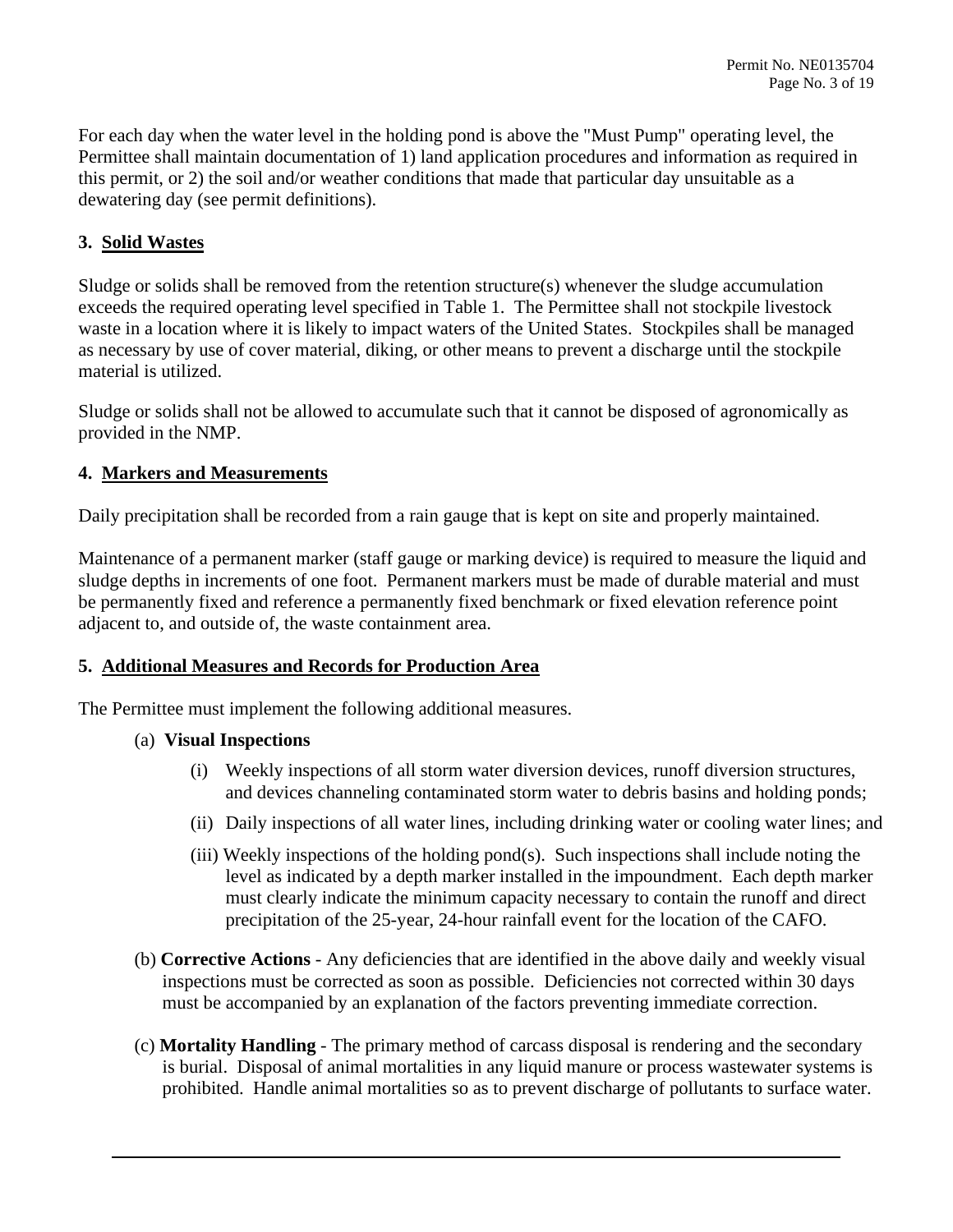For each day when the water level in the holding pond is above the "Must Pump" operating level, the Permittee shall maintain documentation of 1) land application procedures and information as required in this permit, or 2) the soil and/or weather conditions that made that particular day unsuitable as a dewatering day (see permit definitions).

## **3. Solid Wastes**

 Sludge or solids shall be removed from the retention structure(s) whenever the sludge accumulation exceeds the required operating level specified in Table 1. The Permittee shall not stockpile livestock material is utilized. waste in a location where it is likely to impact waters of the United States. Stockpiles shall be managed as necessary by use of cover material, diking, or other means to prevent a discharge until the stockpile

Sludge or solids shall not be allowed to accumulate such that it cannot be disposed of agronomically as provided in the NMP.

#### **4. Markers and Measurements**

Daily precipitation shall be recorded from a rain gauge that is kept on site and properly maintained.

 sludge depths in increments of one foot. Permanent markers must be made of durable material and must Maintenance of a permanent marker (staff gauge or marking device) is required to measure the liquid and be permanently fixed and reference a permanently fixed benchmark or fixed elevation reference point adjacent to, and outside of, the waste containment area.

#### **5. Additional Measures and Records for Production Area**

The Permittee must implement the following additional measures.

#### (a) **Visual Inspections**

- (i) Weekly inspections of all storm water diversion devices, runoff diversion structures, and devices channeling contaminated storm water to debris basins and holding ponds;
- (ii) Daily inspections of all water lines, including drinking water or cooling water lines; and
- (iii) Weekly inspections of the holding pond(s). Such inspections shall include noting the level as indicated by a depth marker installed in the impoundment. Each depth marker must clearly indicate the minimum capacity necessary to contain the runoff and direct precipitation of the 25-year, 24-hour rainfall event for the location of the CAFO.
- (b) **Corrective Actions**  Any deficiencies that are identified in the above daily and weekly visual inspections must be corrected as soon as possible. Deficiencies not corrected within 30 days must be accompanied by an explanation of the factors preventing immediate correction.
- (c) **Mortality Handling**  The primary method of carcass disposal is rendering and the secondary prohibited. Handle animal mortalities so as to prevent discharge of pollutants to surface water. is burial. Disposal of animal mortalities in any liquid manure or process wastewater systems is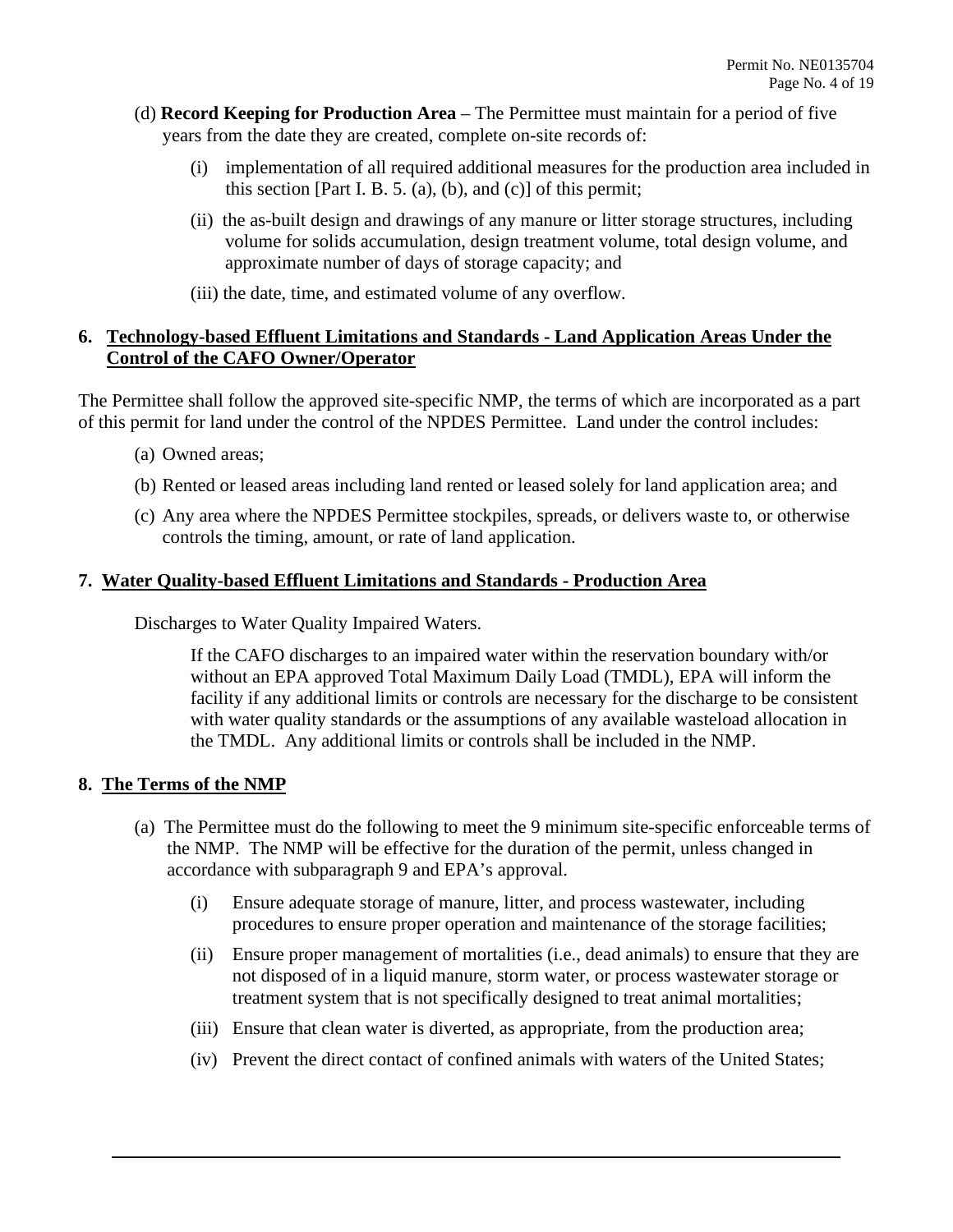- (d) **Record Keeping for Production Area**  The Permittee must maintain for a period of five years from the date they are created, complete on-site records of:
	- (i) implementation of all required additional measures for the production area included in this section [Part I. B. 5. (a), (b), and (c)] of this permit;
	- (ii) the as-built design and drawings of any manure or litter storage structures, including volume for solids accumulation, design treatment volume, total design volume, and approximate number of days of storage capacity; and
	- (iii) the date, time, and estimated volume of any overflow.

## **6. Technology-based Effluent Limitations and Standards - Land Application Areas Under the Control of the CAFO Owner/Operator**

 of this permit for land under the control of the NPDES Permittee. Land under the control includes: The Permittee shall follow the approved site-specific NMP, the terms of which are incorporated as a part

- (a) Owned areas;
- (b) Rented or leased areas including land rented or leased solely for land application area; and
- (c) Any area where the NPDES Permittee stockpiles, spreads, or delivers waste to, or otherwise controls the timing, amount, or rate of land application.

## **7. Water Quality-based Effluent Limitations and Standards - Production Area**

Discharges to Water Quality Impaired Waters.

If the CAFO discharges to an impaired water within the reservation boundary with/or without an EPA approved Total Maximum Daily Load (TMDL), EPA will inform the facility if any additional limits or controls are necessary for the discharge to be consistent with water quality standards or the assumptions of any available wasteload allocation in the TMDL. Any additional limits or controls shall be included in the NMP.

## **8. The Terms of the NMP**

- accordance with subparagraph 9 and EPA's approval. (a) The Permittee must do the following to meet the 9 minimum site-specific enforceable terms of the NMP. The NMP will be effective for the duration of the permit, unless changed in
	- procedures to ensure proper operation and maintenance of the storage facilities; (i) Ensure adequate storage of manure, litter, and process wastewater, including
	- not disposed of in a liquid manure, storm water, or process wastewater storage or (ii) Ensure proper management of mortalities (i.e., dead animals) to ensure that they are treatment system that is not specifically designed to treat animal mortalities;
	- (iii) Ensure that clean water is diverted, as appropriate, from the production area;
	- (iv) Prevent the direct contact of confined animals with waters of the United States;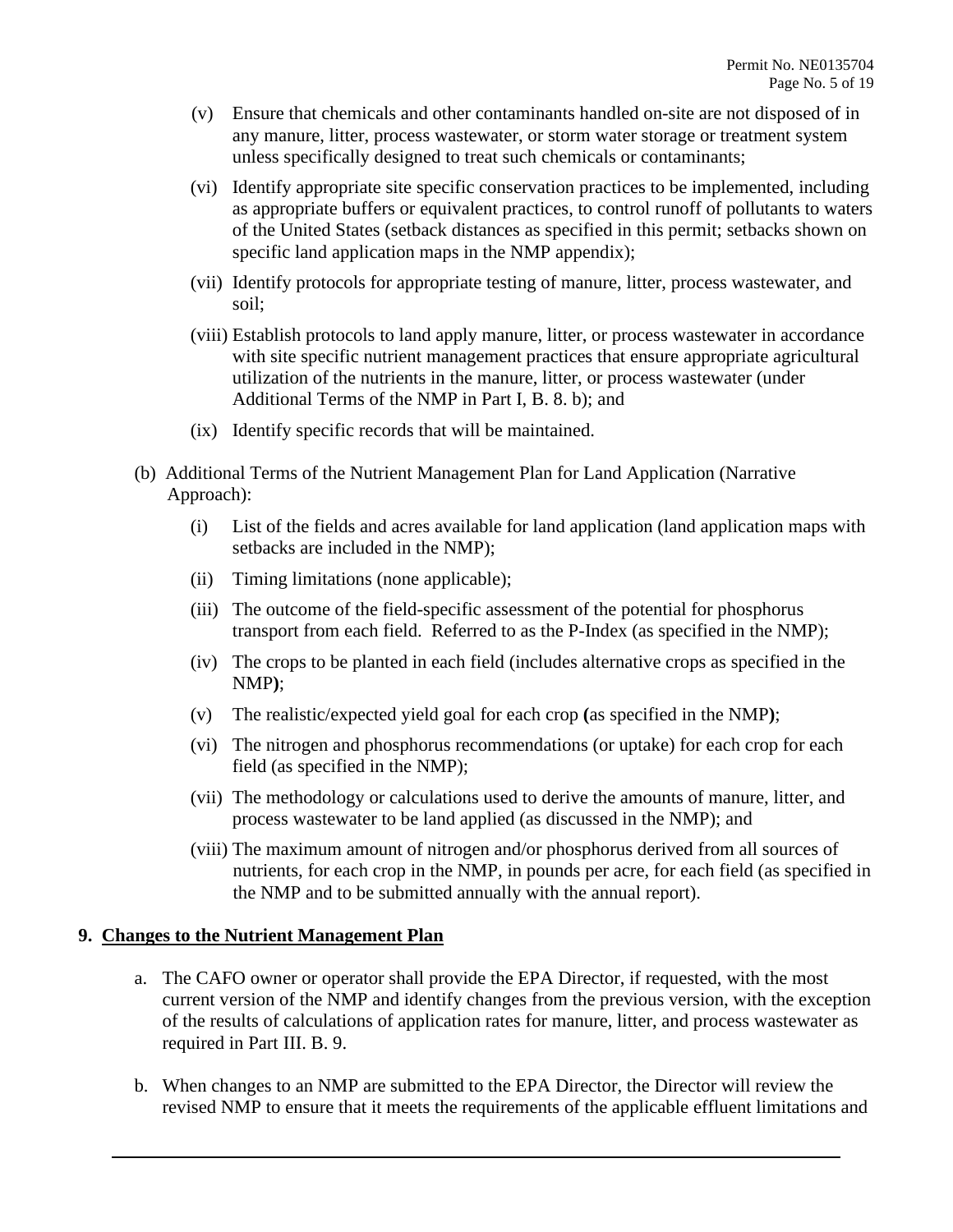- (v) Ensure that chemicals and other contaminants handled on-site are not disposed of in any manure, litter, process wastewater, or storm water storage or treatment system unless specifically designed to treat such chemicals or contaminants;
- specific land application maps in the NMP appendix); (vi) Identify appropriate site specific conservation practices to be implemented, including as appropriate buffers or equivalent practices, to control runoff of pollutants to waters of the United States (setback distances as specified in this permit; setbacks shown on
- (vii) Identify protocols for appropriate testing of manure, litter, process wastewater, and soil;
- Additional Terms of the NMP in Part I, B. 8. b); and (viii) Establish protocols to land apply manure, litter, or process wastewater in accordance with site specific nutrient management practices that ensure appropriate agricultural utilization of the nutrients in the manure, litter, or process wastewater (under
- (ix) Identify specific records that will be maintained.
- (b) Additional Terms of the Nutrient Management Plan for Land Application (Narrative Approach):
	- (i) List of the fields and acres available for land application (land application maps with setbacks are included in the NMP);
	- (ii) Timing limitations (none applicable);
	- (iii) The outcome of the field-specific assessment of the potential for phosphorus transport from each field. Referred to as the P-Index (as specified in the NMP);
	- (iv) The crops to be planted in each field (includes alternative crops as specified in the NMP**)**;
	- (v) The realistic/expected yield goal for each crop **(**as specified in the NMP**)**;
	- (vi) The nitrogen and phosphorus recommendations (or uptake) for each crop for each field (as specified in the NMP);
	- (vii) The methodology or calculations used to derive the amounts of manure, litter, and process wastewater to be land applied (as discussed in the NMP); and
	- the NMP and to be submitted annually with the annual report). (viii) The maximum amount of nitrogen and/or phosphorus derived from all sources of nutrients, for each crop in the NMP, in pounds per acre, for each field (as specified in

#### **9. Changes to the Nutrient Management Plan**

- a. The CAFO owner or operator shall provide the EPA Director, if requested, with the most of the results of calculations of application rates for manure, litter, and process wastewater as required in Part III. B. 9. current version of the NMP and identify changes from the previous version, with the exception
- revised NMP to ensure that it meets the requirements of the applicable effluent limitations and b. When changes to an NMP are submitted to the EPA Director, the Director will review the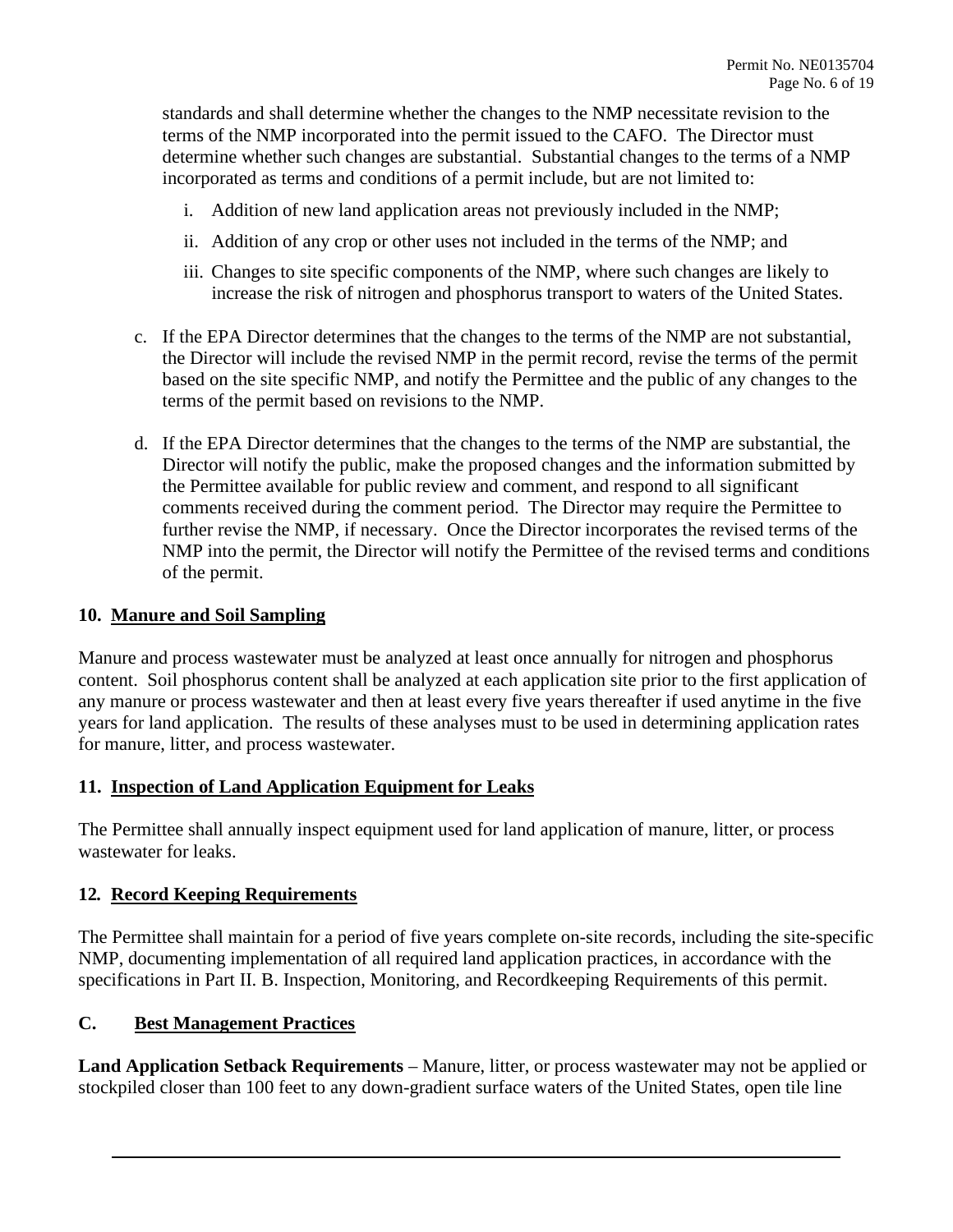standards and shall determine whether the changes to the NMP necessitate revision to the determine whether such changes are substantial. Substantial changes to the terms of a NMP terms of the NMP incorporated into the permit issued to the CAFO. The Director must incorporated as terms and conditions of a permit include, but are not limited to:

- i. Addition of new land application areas not previously included in the NMP;
- ii. Addition of any crop or other uses not included in the terms of the NMP; and
- iii. Changes to site specific components of the NMP, where such changes are likely to increase the risk of nitrogen and phosphorus transport to waters of the United States.
- c. If the EPA Director determines that the changes to the terms of the NMP are not substantial, the Director will include the revised NMP in the permit record, revise the terms of the permit based on the site specific NMP, and notify the Permittee and the public of any changes to the terms of the permit based on revisions to the NMP.
- the Permittee available for public review and comment, and respond to all significant d. If the EPA Director determines that the changes to the terms of the NMP are substantial, the Director will notify the public, make the proposed changes and the information submitted by comments received during the comment period. The Director may require the Permittee to further revise the NMP, if necessary. Once the Director incorporates the revised terms of the NMP into the permit, the Director will notify the Permittee of the revised terms and conditions of the permit.

#### **10. Manure and Soil Sampling**

 Manure and process wastewater must be analyzed at least once annually for nitrogen and phosphorus any manure or process wastewater and then at least every five years thereafter if used anytime in the five years for land application. The results of these analyses must to be used in determining application rates content. Soil phosphorus content shall be analyzed at each application site prior to the first application of for manure, litter, and process wastewater.

## **11. Inspection of Land Application Equipment for Leaks**

The Permittee shall annually inspect equipment used for land application of manure, litter, or process wastewater for leaks.

#### **12***.* **Record Keeping Requirements**

The Permittee shall maintain for a period of five years complete on-site records, including the site-specific NMP, documenting implementation of all required land application practices, in accordance with the specifications in Part II. B. Inspection, Monitoring, and Recordkeeping Requirements of this permit.

#### **C. Best Management Practices**

 **Land Application Setback Requirements** – Manure, litter, or process wastewater may not be applied or stockpiled closer than 100 feet to any down-gradient surface waters of the United States, open tile line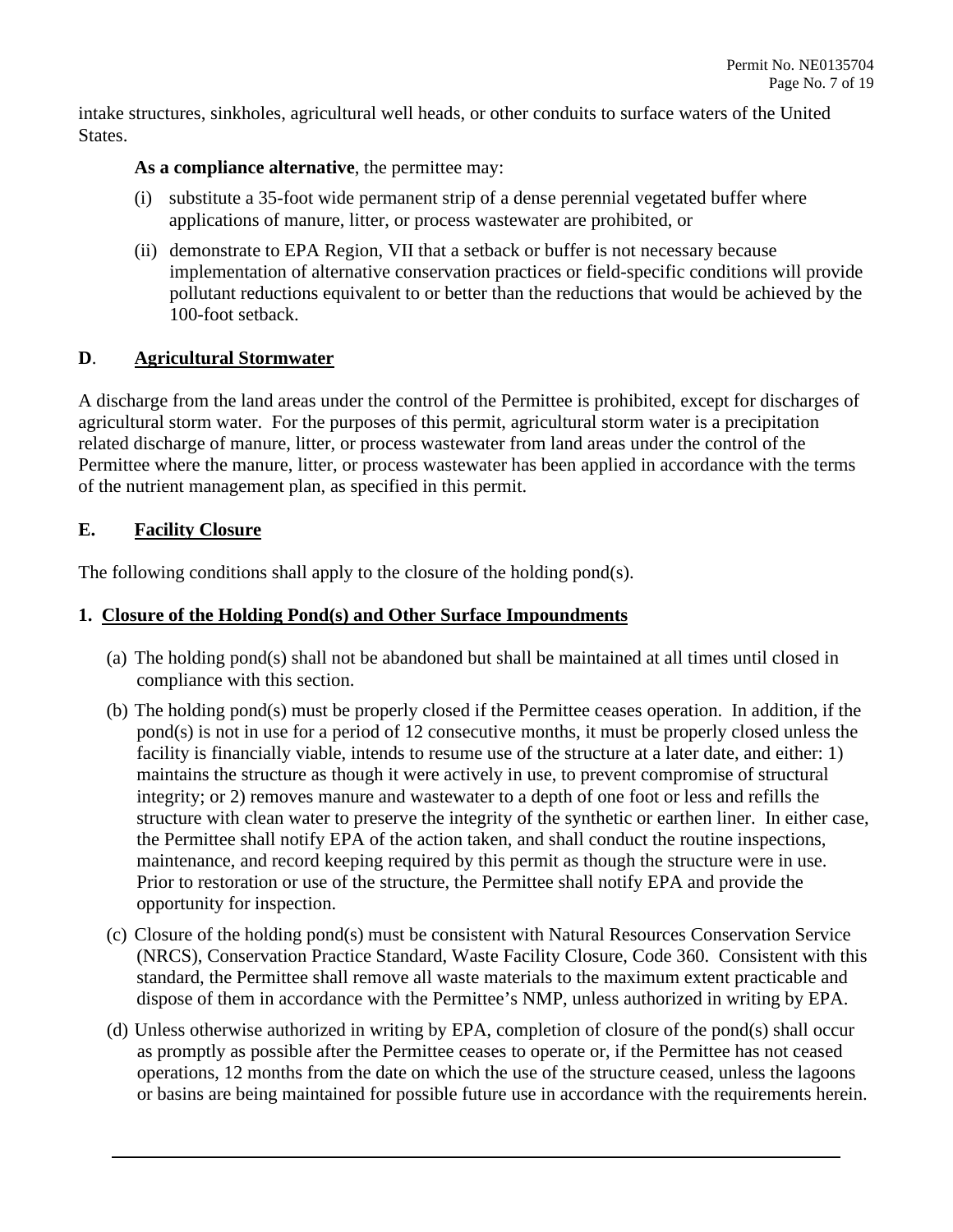intake structures, sinkholes, agricultural well heads, or other conduits to surface waters of the United States.

## As a compliance alternative, the permittee may:

- (i) substitute a 35-foot wide permanent strip of a dense perennial vegetated buffer where applications of manure, litter, or process wastewater are prohibited, or
- (ii) demonstrate to EPA Region, VII that a setback or buffer is not necessary because implementation of alternative conservation practices or field-specific conditions will provide pollutant reductions equivalent to or better than the reductions that would be achieved by the 100-foot setback.

## **D**. **Agricultural Stormwater**

 A discharge from the land areas under the control of the Permittee is prohibited, except for discharges of agricultural storm water. For the purposes of this permit, agricultural storm water is a precipitation Permittee where the manure, litter, or process wastewater has been applied in accordance with the terms related discharge of manure, litter, or process wastewater from land areas under the control of the of the nutrient management plan, as specified in this permit.

## **E. Facility Closure**

The following conditions shall apply to the closure of the holding pond(s).

## **1. Closure of the Holding Pond(s) and Other Surface Impoundments**

- (a) The holding pond(s) shall not be abandoned but shall be maintained at all times until closed in compliance with this section.
- pond(s) is not in use for a period of 12 consecutive months, it must be properly closed unless the Prior to restoration or use of the structure, the Permittee shall notify EPA and provide the (b) The holding pond(s) must be properly closed if the Permittee ceases operation. In addition, if the facility is financially viable, intends to resume use of the structure at a later date, and either: 1) maintains the structure as though it were actively in use, to prevent compromise of structural integrity; or 2) removes manure and wastewater to a depth of one foot or less and refills the structure with clean water to preserve the integrity of the synthetic or earthen liner. In either case, the Permittee shall notify EPA of the action taken, and shall conduct the routine inspections, maintenance, and record keeping required by this permit as though the structure were in use. opportunity for inspection.
- (c) Closure of the holding pond(s) must be consistent with Natural Resources Conservation Service (NRCS), Conservation Practice Standard, Waste Facility Closure, Code 360. Consistent with this standard, the Permittee shall remove all waste materials to the maximum extent practicable and dispose of them in accordance with the Permittee's NMP, unless authorized in writing by EPA.
- (d) Unless otherwise authorized in writing by EPA, completion of closure of the pond(s) shall occur as promptly as possible after the Permittee ceases to operate or, if the Permittee has not ceased operations, 12 months from the date on which the use of the structure ceased, unless the lagoons or basins are being maintained for possible future use in accordance with the requirements herein.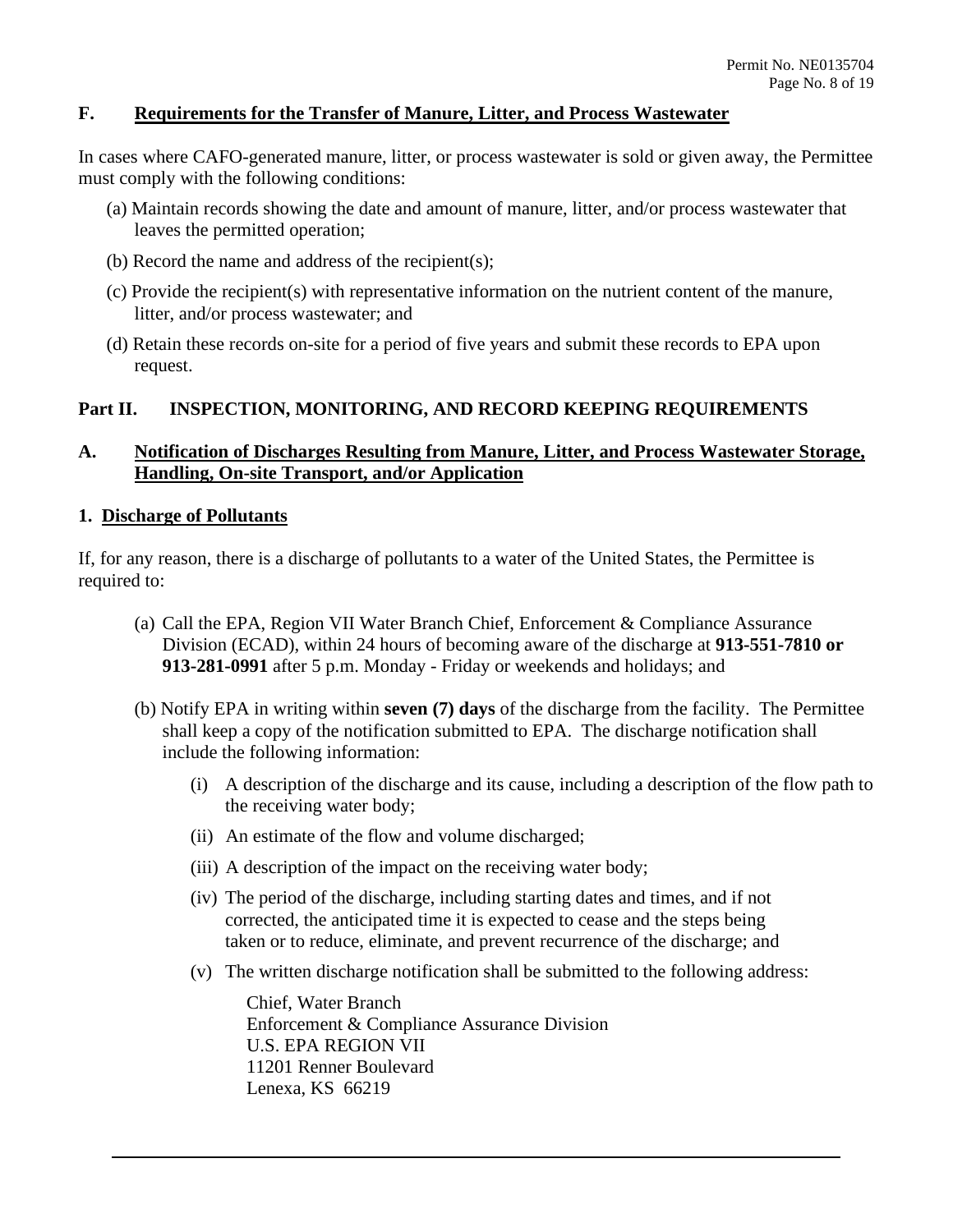## **F. Requirements for the Transfer of Manure, Litter, and Process Wastewater**

In cases where CAFO-generated manure, litter, or process wastewater is sold or given away, the Permittee must comply with the following conditions:

- (a) Maintain records showing the date and amount of manure, litter, and/or process wastewater that leaves the permitted operation;
- (b) Record the name and address of the recipient(s);
- litter, and/or process wastewater; and (c) Provide the recipient(s) with representative information on the nutrient content of the manure,
- (d) Retain these records on-site for a period of five years and submit these records to EPA upon request.

#### **Part II. INSPECTION, MONITORING, AND RECORD KEEPING REQUIREMENTS**

## **A. Notification of Discharges Resulting from Manure, Litter, and Process Wastewater Storage, Handling, On-site Transport, and/or Application**

#### **1. Discharge of Pollutants**

required to: If, for any reason, there is a discharge of pollutants to a water of the United States, the Permittee is

- required to: (a) Call the EPA, Region VII Water Branch Chief, Enforcement & Compliance Assurance Division (ECAD), within 24 hours of becoming aware of the discharge at **913-551-7810 or 913-281-0991** after 5 p.m. Monday - Friday or weekends and holidays; and
	- (b) Notify EPA in writing within **seven (7) days** of the discharge from the facility. The Permittee shall keep a copy of the notification submitted to EPA. The discharge notification shall include the following information:
		- (i) A description of the discharge and its cause, including a description of the flow path to the receiving water body;
		- (ii) An estimate of the flow and volume discharged;
		- (ii) An estimate of the flow and volume discharged; (iii) A description of the impact on the receiving water body;
		- (iv) The period of the discharge, including starting dates and times, and if not corrected, the anticipated time it is expected to cease and the steps being taken or to reduce, eliminate, and prevent recurrence of the discharge; and
		- (v) The written discharge notification shall be submitted to the following address:

 Enforcement & Compliance Assurance Division Chief, Water Branch U.S. EPA REGION VII 11201 Renner Boulevard Lenexa, KS 66219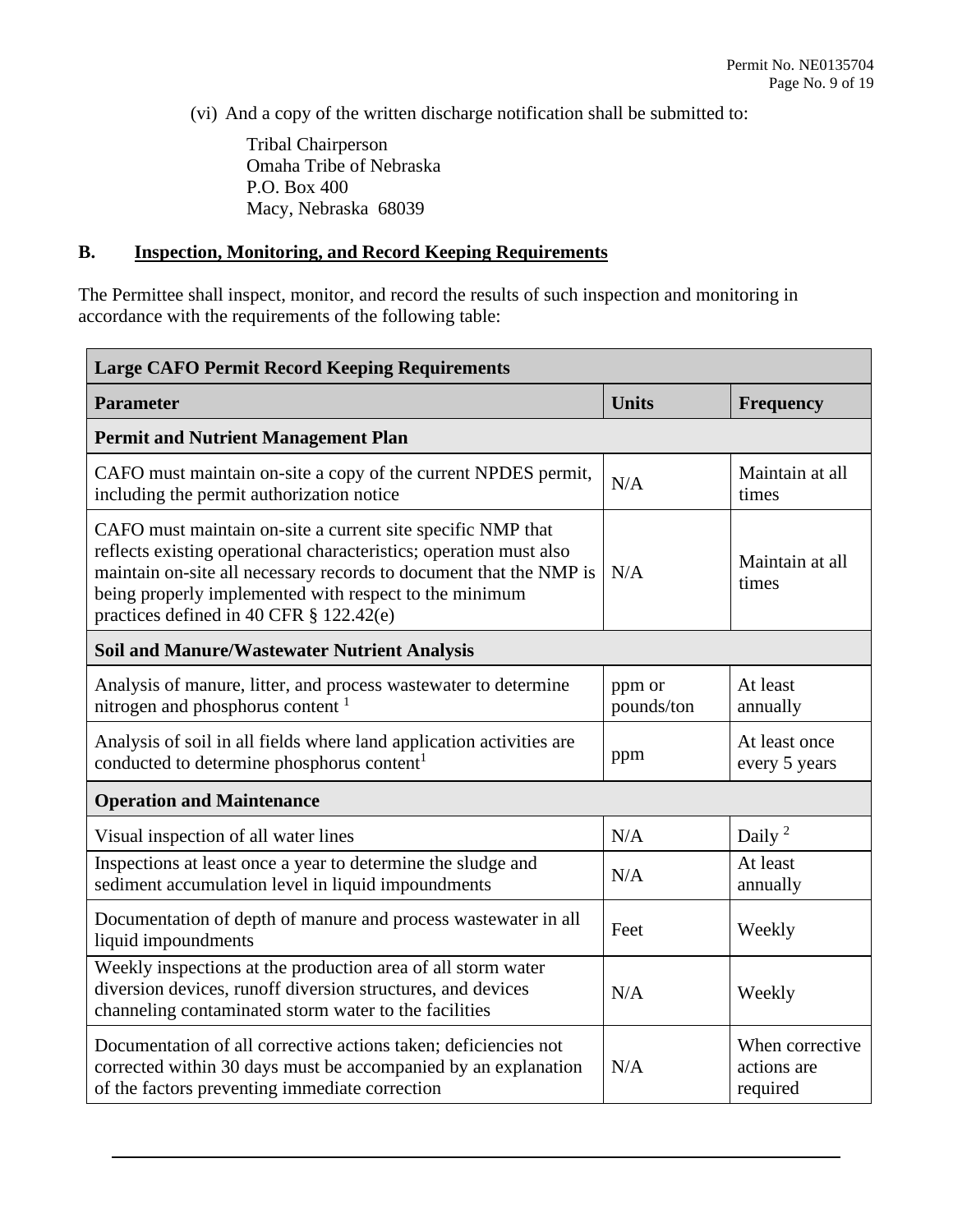(vi) And a copy of the written discharge notification shall be submitted to:

 Macy, Nebraska 68039 Tribal Chairperson Omaha Tribe of Nebraska P.O. Box 400

## **B. Inspection, Monitoring, and Record Keeping Requirements**

The Permittee shall inspect, monitor, and record the results of such inspection and monitoring in accordance with the requirements of the following table:

| <b>Large CAFO Permit Record Keeping Requirements</b>                                                                                                                                                                                                                                                            |                      |                                            |  |  |
|-----------------------------------------------------------------------------------------------------------------------------------------------------------------------------------------------------------------------------------------------------------------------------------------------------------------|----------------------|--------------------------------------------|--|--|
| <b>Parameter</b>                                                                                                                                                                                                                                                                                                | <b>Units</b>         | <b>Frequency</b>                           |  |  |
| <b>Permit and Nutrient Management Plan</b>                                                                                                                                                                                                                                                                      |                      |                                            |  |  |
| CAFO must maintain on-site a copy of the current NPDES permit,<br>including the permit authorization notice                                                                                                                                                                                                     | N/A                  | Maintain at all<br>times                   |  |  |
| CAFO must maintain on-site a current site specific NMP that<br>reflects existing operational characteristics; operation must also<br>maintain on-site all necessary records to document that the NMP is<br>being properly implemented with respect to the minimum<br>practices defined in 40 CFR $\S$ 122.42(e) | N/A                  | Maintain at all<br>times                   |  |  |
| <b>Soil and Manure/Wastewater Nutrient Analysis</b>                                                                                                                                                                                                                                                             |                      |                                            |  |  |
| Analysis of manure, litter, and process wastewater to determine<br>nitrogen and phosphorus content <sup>1</sup>                                                                                                                                                                                                 | ppm or<br>pounds/ton | At least<br>annually                       |  |  |
| Analysis of soil in all fields where land application activities are<br>conducted to determine phosphorus content <sup>1</sup>                                                                                                                                                                                  | ppm                  | At least once<br>every 5 years             |  |  |
| <b>Operation and Maintenance</b>                                                                                                                                                                                                                                                                                |                      |                                            |  |  |
| Visual inspection of all water lines                                                                                                                                                                                                                                                                            | N/A                  | Daily <sup>2</sup>                         |  |  |
| Inspections at least once a year to determine the sludge and<br>sediment accumulation level in liquid impoundments                                                                                                                                                                                              | N/A                  | At least<br>annually                       |  |  |
| Documentation of depth of manure and process wastewater in all<br>liquid impoundments                                                                                                                                                                                                                           | Feet                 | Weekly                                     |  |  |
| Weekly inspections at the production area of all storm water<br>diversion devices, runoff diversion structures, and devices<br>channeling contaminated storm water to the facilities                                                                                                                            | N/A                  | Weekly                                     |  |  |
| Documentation of all corrective actions taken; deficiencies not<br>corrected within 30 days must be accompanied by an explanation<br>of the factors preventing immediate correction                                                                                                                             | N/A                  | When corrective<br>actions are<br>required |  |  |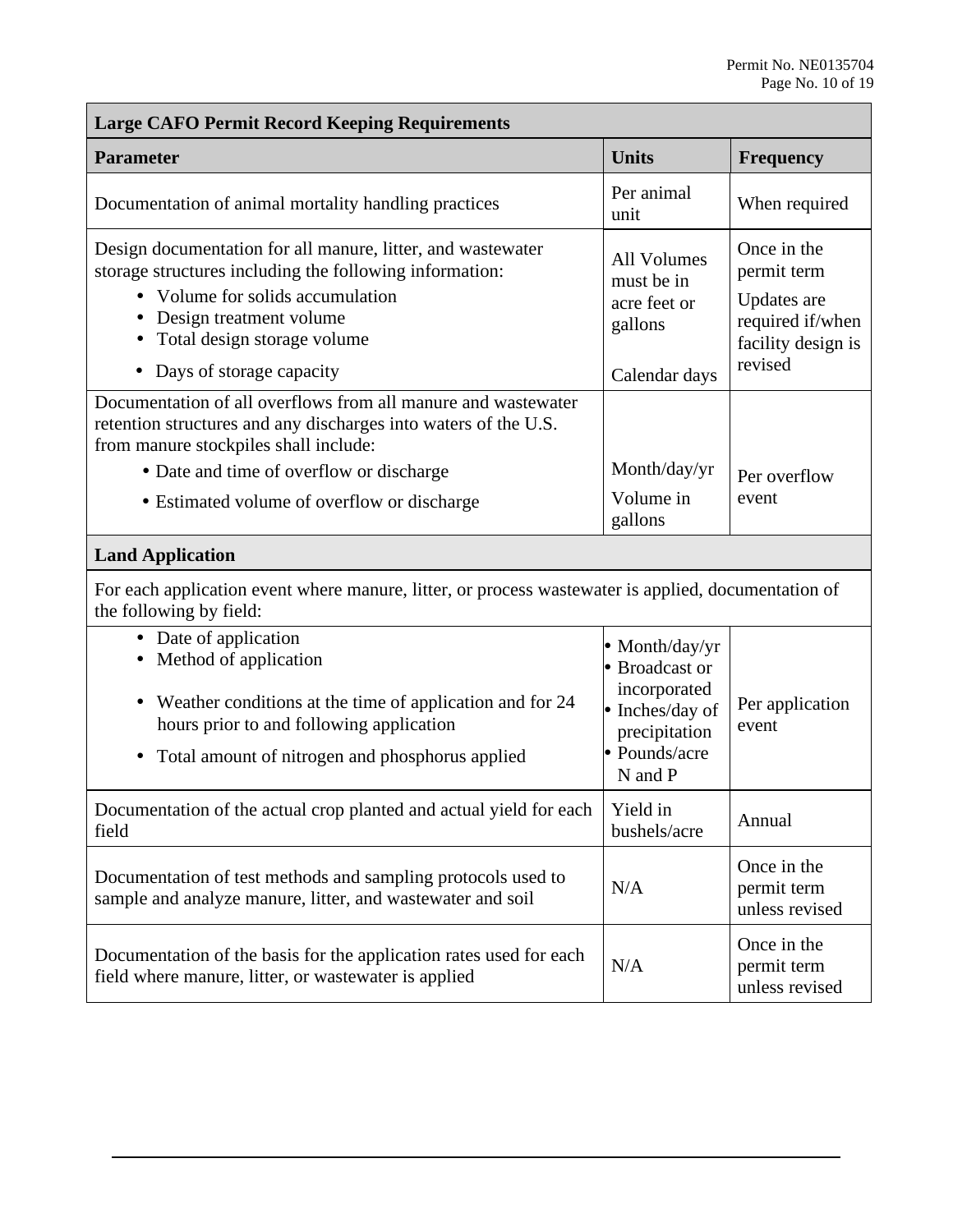| <b>Large CAFO Permit Record Keeping Requirements</b>                                                                                                                                                                                                              |                                                                                                                |                                                                                                |  |  |
|-------------------------------------------------------------------------------------------------------------------------------------------------------------------------------------------------------------------------------------------------------------------|----------------------------------------------------------------------------------------------------------------|------------------------------------------------------------------------------------------------|--|--|
| <b>Parameter</b>                                                                                                                                                                                                                                                  | <b>Units</b>                                                                                                   | <b>Frequency</b>                                                                               |  |  |
| Documentation of animal mortality handling practices                                                                                                                                                                                                              | Per animal<br>unit                                                                                             | When required                                                                                  |  |  |
| Design documentation for all manure, litter, and wastewater<br>storage structures including the following information:<br>• Volume for solids accumulation<br>• Design treatment volume<br>• Total design storage volume<br>Days of storage capacity<br>$\bullet$ | <b>All Volumes</b><br>must be in<br>acre feet or<br>gallons<br>Calendar days                                   | Once in the<br>permit term<br>Updates are<br>required if/when<br>facility design is<br>revised |  |  |
| Documentation of all overflows from all manure and wastewater<br>retention structures and any discharges into waters of the U.S.<br>from manure stockpiles shall include:<br>• Date and time of overflow or discharge                                             | Month/day/yr                                                                                                   |                                                                                                |  |  |
| • Estimated volume of overflow or discharge                                                                                                                                                                                                                       | Volume in<br>gallons                                                                                           | Per overflow<br>event                                                                          |  |  |
| <b>Land Application</b>                                                                                                                                                                                                                                           |                                                                                                                |                                                                                                |  |  |
| For each application event where manure, litter, or process was tewater is applied, documentation of<br>the following by field:                                                                                                                                   |                                                                                                                |                                                                                                |  |  |
| • Date of application<br>• Method of application<br>• Weather conditions at the time of application and for 24<br>hours prior to and following application<br>• Total amount of nitrogen and phosphorus applied                                                   | • Month/day/yr<br>• Broadcast or<br>incorporated<br>• Inches/day of<br>precipitation<br>Pounds/acre<br>N and P | Per application<br>event                                                                       |  |  |
| Documentation of the actual crop planted and actual yield for each<br>field                                                                                                                                                                                       | Yield in<br>bushels/acre                                                                                       | Annual                                                                                         |  |  |
| Documentation of test methods and sampling protocols used to<br>sample and analyze manure, litter, and wastewater and soil                                                                                                                                        | N/A                                                                                                            | Once in the<br>permit term<br>unless revised                                                   |  |  |
| Documentation of the basis for the application rates used for each<br>field where manure, litter, or wastewater is applied                                                                                                                                        | N/A                                                                                                            | Once in the<br>permit term<br>unless revised                                                   |  |  |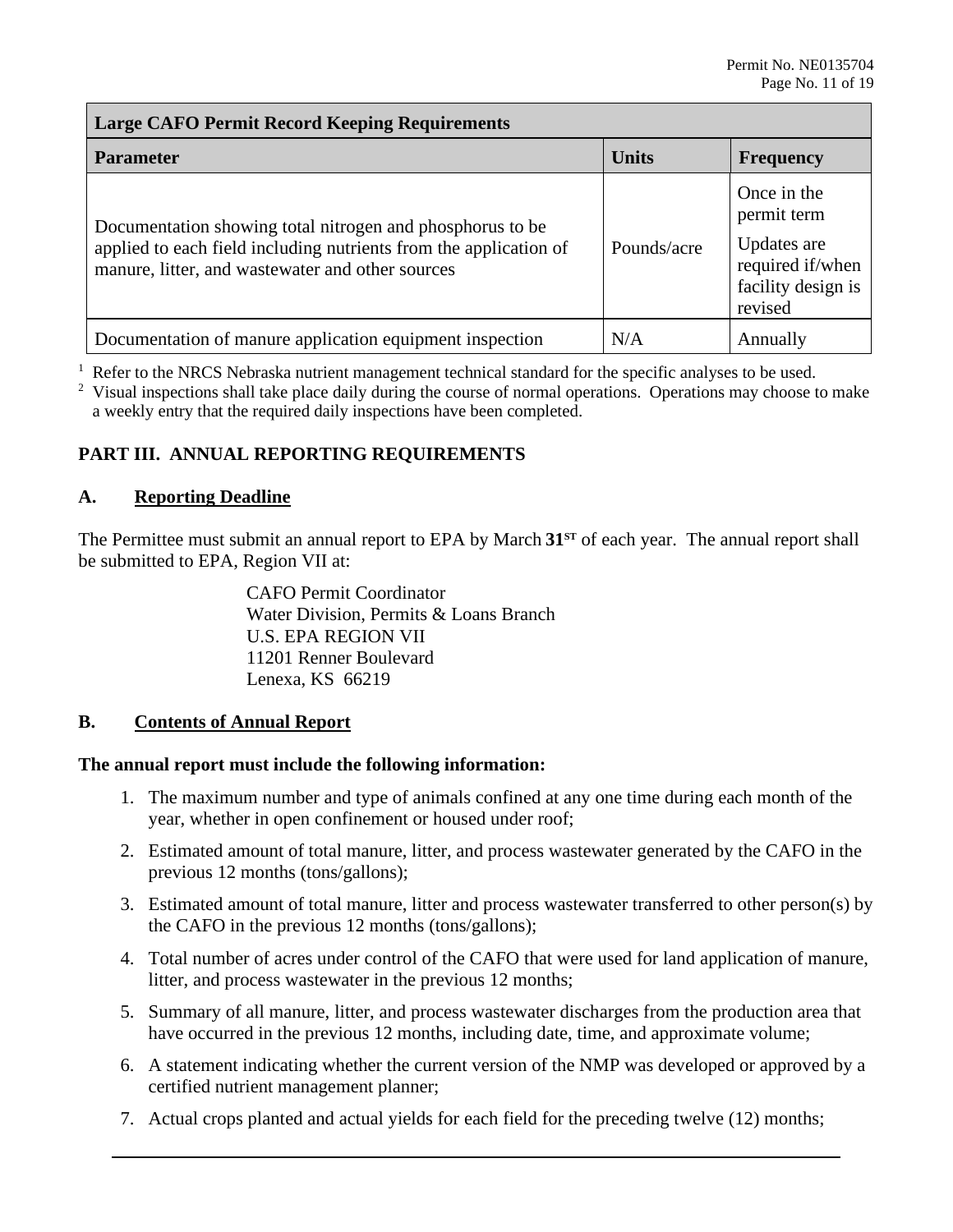## **Large CAFO Permit Record Keeping Requirements**

| <b>Parameter</b>                                                                                                                                                                   | <b>Units</b> | <b>Frequency</b>                                                                               |
|------------------------------------------------------------------------------------------------------------------------------------------------------------------------------------|--------------|------------------------------------------------------------------------------------------------|
| Documentation showing total nitrogen and phosphorus to be<br>applied to each field including nutrients from the application of<br>manure, litter, and wastewater and other sources | Pounds/acre  | Once in the<br>permit term<br>Updates are<br>required if/when<br>facility design is<br>revised |
| Documentation of manure application equipment inspection                                                                                                                           | N/A          | Annually                                                                                       |

 $<sup>1</sup>$  Refer to the NRCS Nebraska nutrient management technical standard for the specific analyses to be used.</sup>

 $2$  Visual inspections shall take place daily during the course of normal operations. Operations may choose to make a weekly entry that the required daily inspections have been completed.

## **PART III. ANNUAL REPORTING REQUIREMENTS**

## **A. Reporting Deadline**

 The Permittee must submit an annual report to EPA by March **31ST** of each year. The annual report shall be submitted to EPA, Region VII at:

> Water Division, Permits & Loans Branch CAFO Permit Coordinator U.S. EPA REGION VII 11201 Renner Boulevard Lenexa, KS 66219

#### **Contents of Annual Report**

# **B.** Contents of Annual Report<br>The annual report must include the following information:

- 1. The maximum number and type of animals confined at any one time during each month of the year, whether in open confinement or housed under roof;
- 2. Estimated amount of total manure, litter, and process wastewater generated by the CAFO in the previous 12 months (tons/gallons);
- 3. Estimated amount of total manure, litter and process wastewater transferred to other person(s) by the CAFO in the previous 12 months (tons/gallons);
- 4. Total number of acres under control of the CAFO that were used for land application of manure, litter, and process wastewater in the previous 12 months;
- have occurred in the previous 12 months, including date, time, and approximate volume; 5. Summary of all manure, litter, and process wastewater discharges from the production area that
- have occurred in the previous 12 months, including date, time, and approximate volume;<br>6. A statement indicating whether the current version of the NMP was developed or approved by a certified nutrient management planner;
- 7. Actual crops planted and actual yields for each field for the preceding twelve (12) months;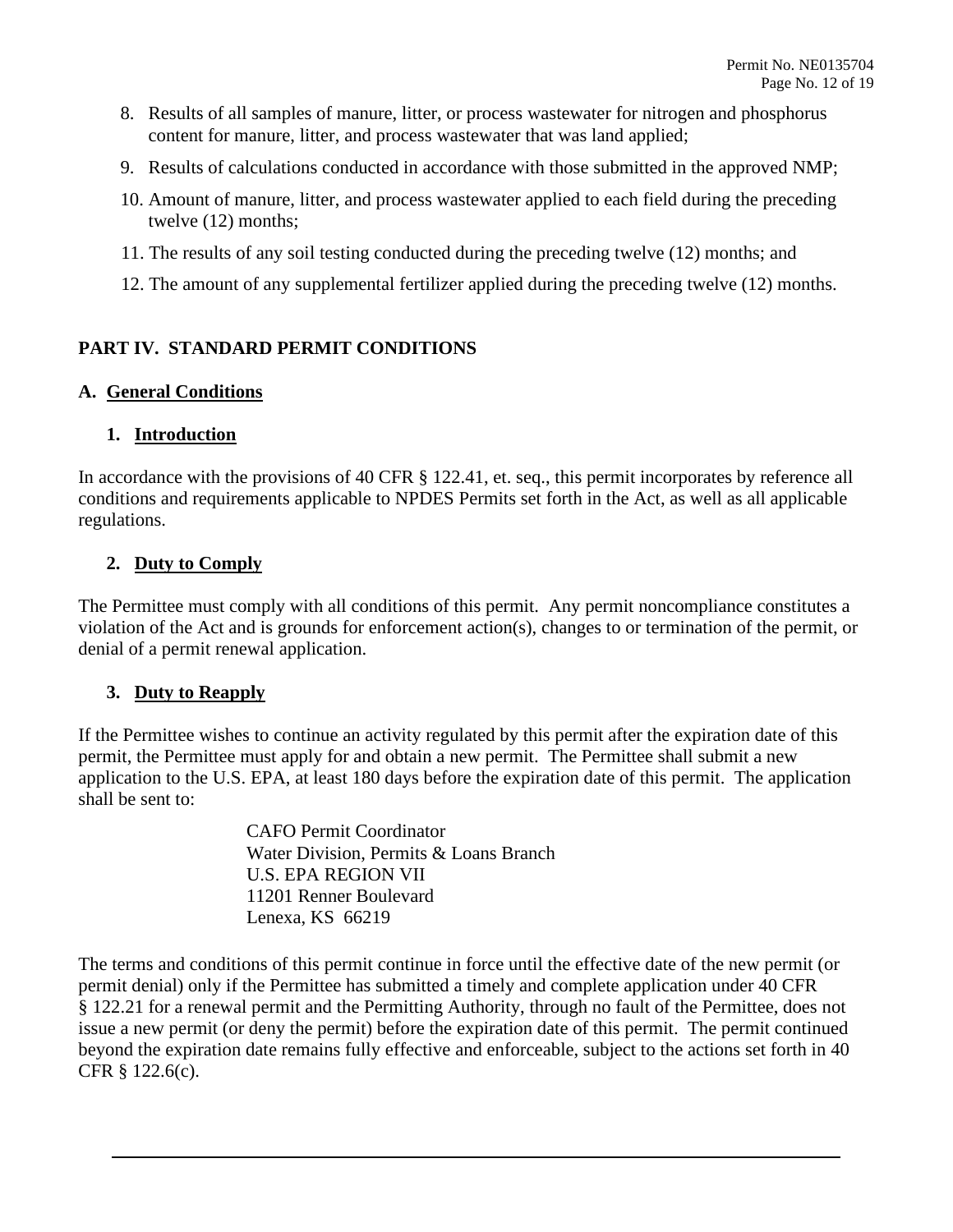- 8. Results of all samples of manure, litter, or process wastewater for nitrogen and phosphorus content for manure, litter, and process wastewater that was land applied;
- 9. Results of calculations conducted in accordance with those submitted in the approved NMP;
- 10. Amount of manure, litter, and process wastewater applied to each field during the preceding twelve (12) months;
- 11. The results of any soil testing conducted during the preceding twelve (12) months; and
- 12. The amount of any supplemental fertilizer applied during the preceding twelve (12) months.

## **PART IV. STANDARD PERMIT CONDITIONS**

## **A. General Conditions**

## **1. Introduction**

In accordance with the provisions of 40 CFR § 122.41, et. seq., this permit incorporates by reference all conditions and requirements applicable to NPDES Permits set forth in the Act, as well as all applicable regulations.

## **2. Duty to Comply**

The Permittee must comply with all conditions of this permit. Any permit noncompliance constitutes a violation of the Act and is grounds for enforcement action(s), changes to or termination of the permit, or denial of a permit renewal application.

## **3. Duty to Reapply**

 permit, the Permittee must apply for and obtain a new permit. The Permittee shall submit a new If the Permittee wishes to continue an activity regulated by this permit after the expiration date of this application to the U.S. EPA, at least 180 days before the expiration date of this permit. The application shall be sent to:

> CAFO Permit Coordinator Water Division, Permits & Loans Branch U.S. EPA REGION VII 11201 Renner Boulevard Lenexa, KS 66219

The terms and conditions of this permit continue in force until the effective date of the new permit (or permit denial) only if the Permittee has submitted a timely and complete application under 40 CFR § 122.21 for a renewal permit and the Permitting Authority, through no fault of the Permittee, does not issue a new permit (or deny the permit) before the expiration date of this permit. The permit continued beyond the expiration date remains fully effective and enforceable, subject to the actions set forth in 40 CFR § 122.6(c).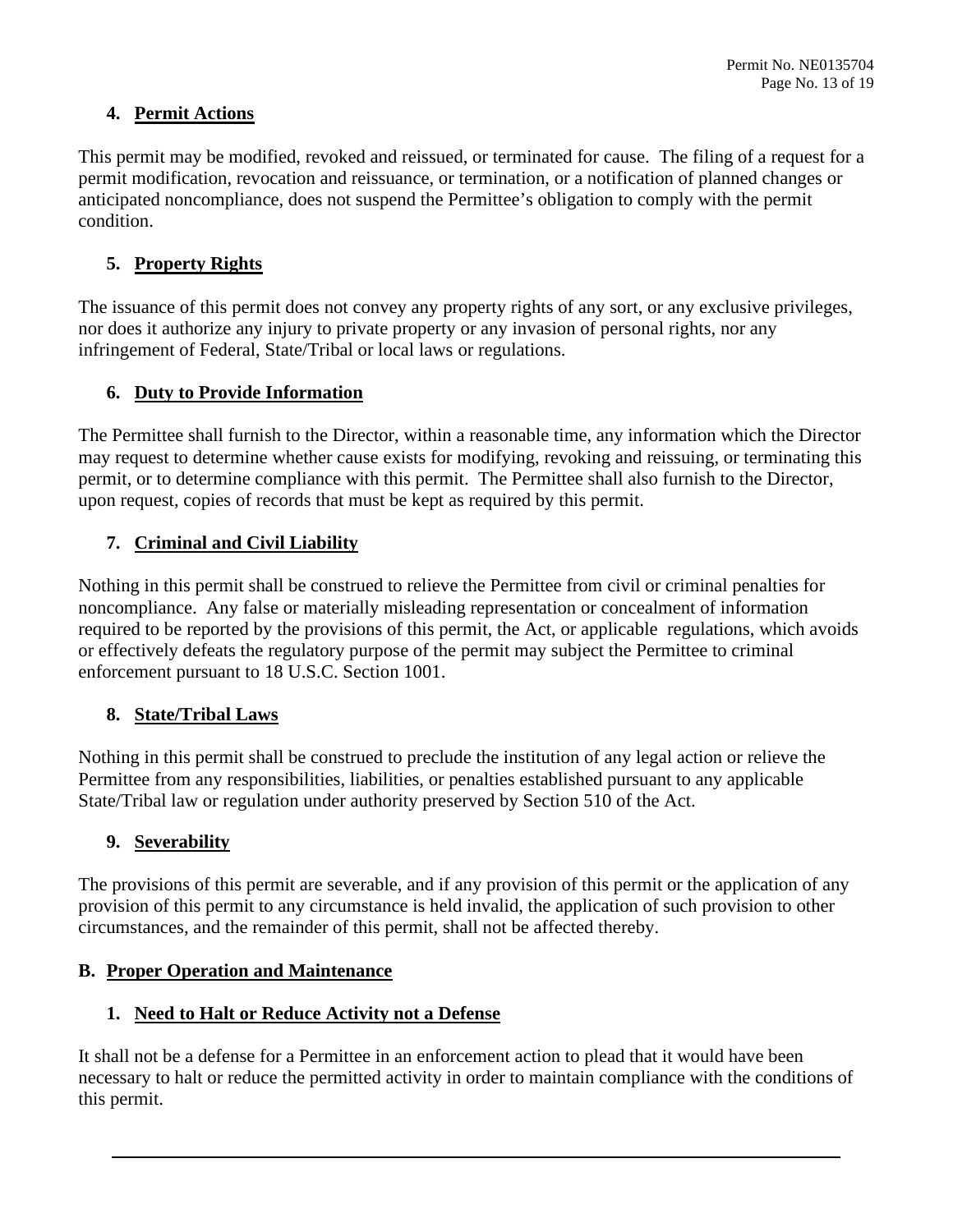## **4. Permit Actions**

 This permit may be modified, revoked and reissued, or terminated for cause. The filing of a request for a anticipated noncompliance, does not suspend the Permittee's obligation to comply with the permit permit modification, revocation and reissuance, or termination, or a notification of planned changes or condition.

## **5. Property Rights**

 nor does it authorize any injury to private property or any invasion of personal rights, nor any The issuance of this permit does not convey any property rights of any sort, or any exclusive privileges, infringement of Federal, State/Tribal or local laws or regulations.

## **6. Duty to Provide Information**

 may request to determine whether cause exists for modifying, revoking and reissuing, or terminating this upon request, copies of records that must be kept as required by this permit. The Permittee shall furnish to the Director, within a reasonable time, any information which the Director permit, or to determine compliance with this permit. The Permittee shall also furnish to the Director,

## **7. Criminal and Civil Liability**

Nothing in this permit shall be construed to relieve the Permittee from civil or criminal penalties for noncompliance. Any false or materially misleading representation or concealment of information required to be reported by the provisions of this permit, the Act, or applicable regulations, which avoids or effectively defeats the regulatory purpose of the permit may subject the Permittee to criminal enforcement pursuant to 18 U.S.C. Section 1001.

## **8. State/Tribal Laws**

 Nothing in this permit shall be construed to preclude the institution of any legal action or relieve the State/Tribal law or regulation under authority preserved by Section 510 of the Act. Permittee from any responsibilities, liabilities, or penalties established pursuant to any applicable

## **9. Severability**

The provisions of this permit are severable, and if any provision of this permit or the application of any provision of this permit to any circumstance is held invalid, the application of such provision to other circumstances, and the remainder of this permit, shall not be affected thereby.

## **B. Proper Operation and Maintenance**

## **1. Need to Halt or Reduce Activity not a Defense**

It shall not be a defense for a Permittee in an enforcement action to plead that it would have been necessary to halt or reduce the permitted activity in order to maintain compliance with the conditions of this permit.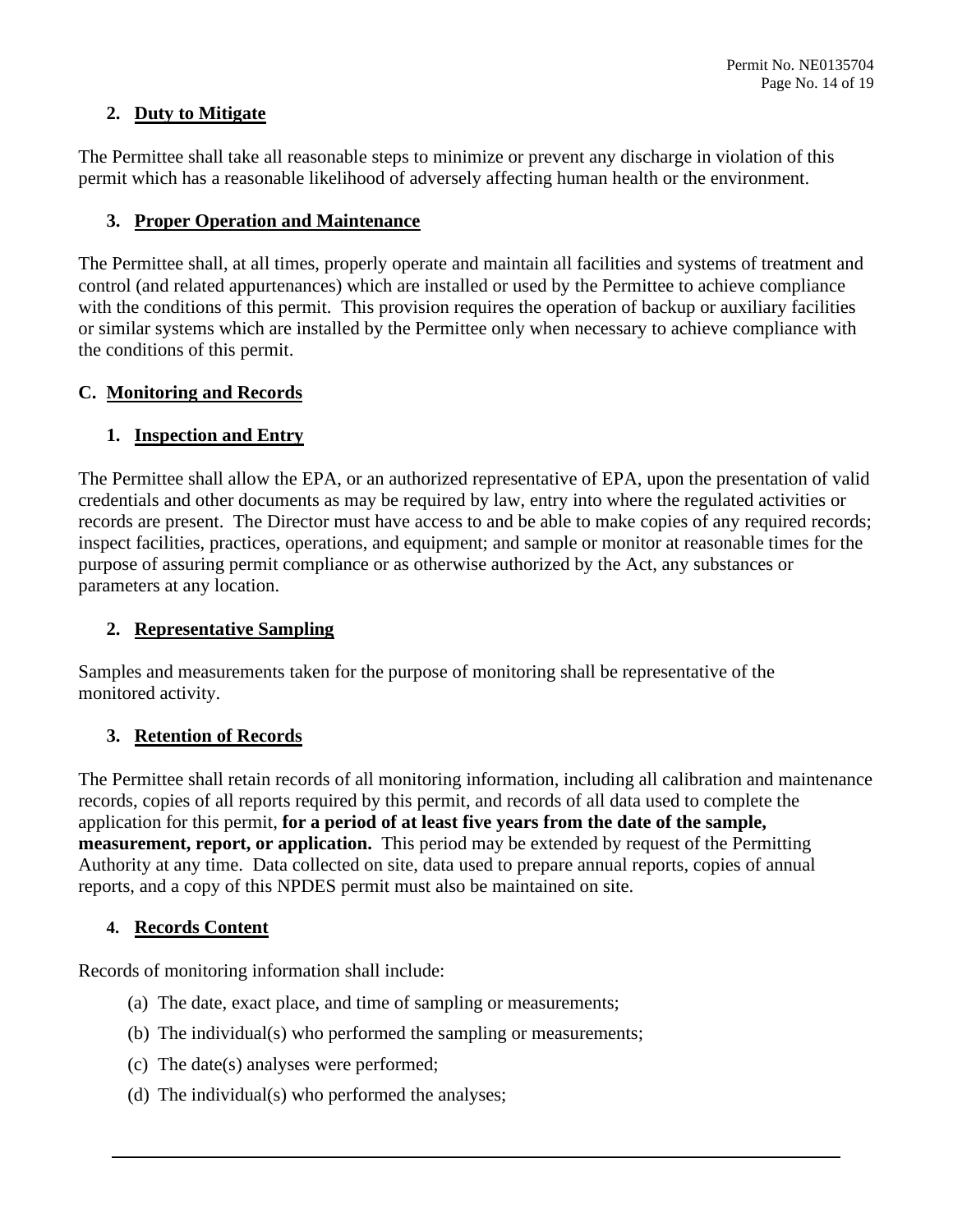## **2. Duty to Mitigate**

The Permittee shall take all reasonable steps to minimize or prevent any discharge in violation of this permit which has a reasonable likelihood of adversely affecting human health or the environment.

## **3. Proper Operation and Maintenance**

 the conditions of this permit. The Permittee shall, at all times, properly operate and maintain all facilities and systems of treatment and control (and related appurtenances) which are installed or used by the Permittee to achieve compliance with the conditions of this permit. This provision requires the operation of backup or auxiliary facilities or similar systems which are installed by the Permittee only when necessary to achieve compliance with

## **C. Monitoring and Records**

## **1. Inspection and Entry**

 credentials and other documents as may be required by law, entry into where the regulated activities or inspect facilities, practices, operations, and equipment; and sample or monitor at reasonable times for the The Permittee shall allow the EPA, or an authorized representative of EPA, upon the presentation of valid records are present. The Director must have access to and be able to make copies of any required records; purpose of assuring permit compliance or as otherwise authorized by the Act, any substances or parameters at any location.

## **2. Representative Sampling**

Samples and measurements taken for the purpose of monitoring shall be representative of the monitored activity.

## **3. Retention of Records**

 records, copies of all reports required by this permit, and records of all data used to complete the **measurement, report, or application.** This period may be extended by request of the Permitting Authority at any time. Data collected on site, data used to prepare annual reports, copies of annual The Permittee shall retain records of all monitoring information, including all calibration and maintenance application for this permit, **for a period of at least five years from the date of the sample,**  reports, and a copy of this NPDES permit must also be maintained on site.

## **4. Records Content**

Records of monitoring information shall include:

- (a) The date, exact place, and time of sampling or measurements;
- (b) The individual(s) who performed the sampling or measurements;
- (c) The date(s) analyses were performed;
- (d) The individual(s) who performed the analyses;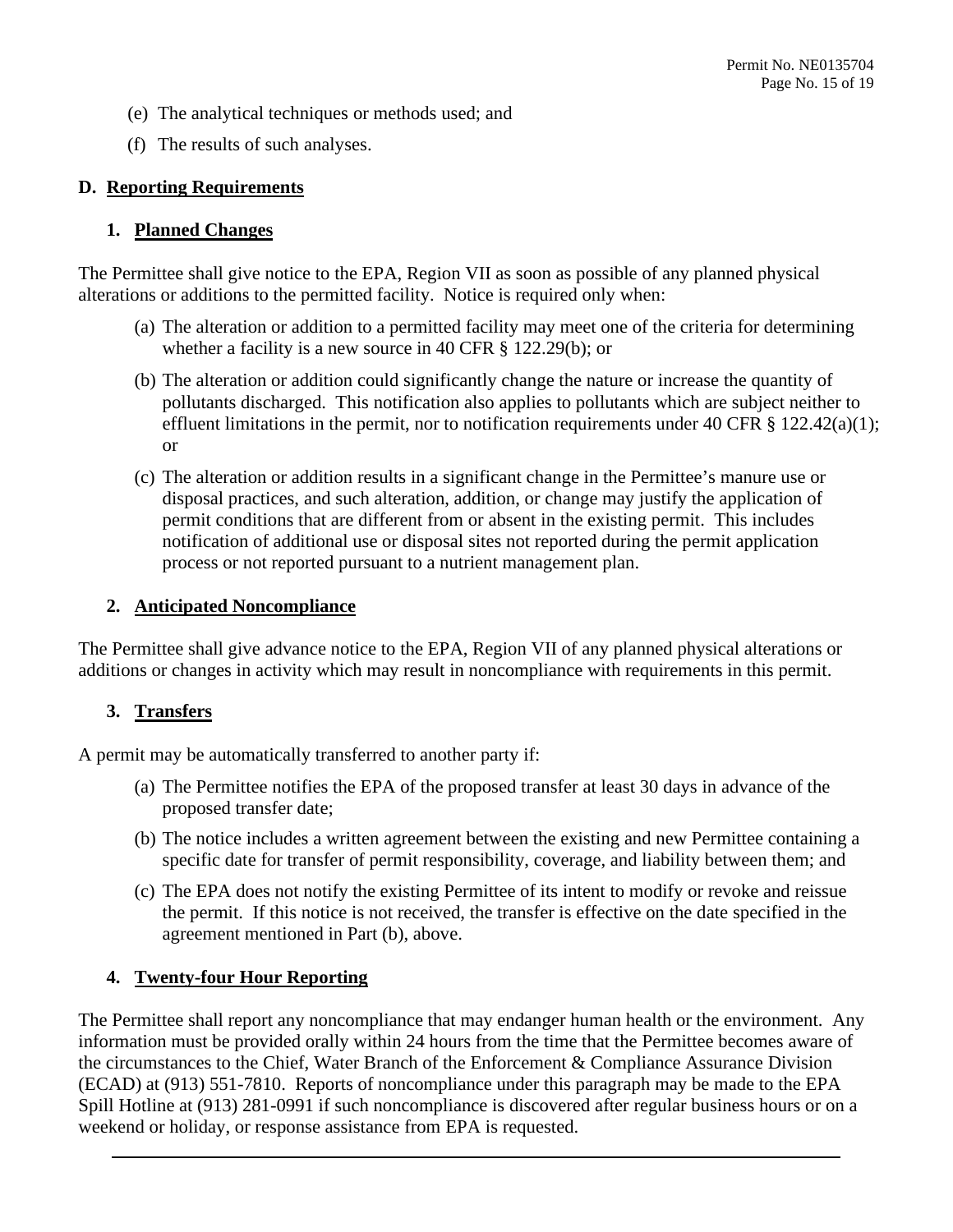- (e) The analytical techniques or methods used; and
- (f) The results of such analyses.

## **D. Reporting Requirements**

#### **1. Planned Changes**

 The Permittee shall give notice to the EPA, Region VII as soon as possible of any planned physical alterations or additions to the permitted facility. Notice is required only when:

- whether a facility is a new source in 40 CFR § 122.29(b); or (a) The alteration or addition to a permitted facility may meet one of the criteria for determining
- effluent limitations in the permit, nor to notification requirements under 40 CFR  $\S 122.42(a)(1)$ ; (b) The alteration or addition could significantly change the nature or increase the quantity of pollutants discharged. This notification also applies to pollutants which are subject neither to or
- (c) The alteration or addition results in a significant change in the Permittee's manure use or disposal practices, and such alteration, addition, or change may justify the application of permit conditions that are different from or absent in the existing permit. This includes notification of additional use or disposal sites not reported during the permit application process or not reported pursuant to a nutrient management plan.

## **2. Anticipated Noncompliance**

The Permittee shall give advance notice to the EPA, Region VII of any planned physical alterations or additions or changes in activity which may result in noncompliance with requirements in this permit.

## **3. Transfers**

A permit may be automatically transferred to another party if:

- (a) The Permittee notifies the EPA of the proposed transfer at least 30 days in advance of the proposed transfer date;
- (b) The notice includes a written agreement between the existing and new Permittee containing a specific date for transfer of permit responsibility, coverage, and liability between them; and
- the permit. If this notice is not received, the transfer is effective on the date specified in the (c) The EPA does not notify the existing Permittee of its intent to modify or revoke and reissue agreement mentioned in Part (b), above.

## **4. Twenty-four Hour Reporting**

 information must be provided orally within 24 hours from the time that the Permittee becomes aware of the circumstances to the Chief, Water Branch of the Enforcement & Compliance Assurance Division The Permittee shall report any noncompliance that may endanger human health or the environment. Any (ECAD) at (913) 551-7810. Reports of noncompliance under this paragraph may be made to the EPA Spill Hotline at (913) 281-0991 if such noncompliance is discovered after regular business hours or on a weekend or holiday, or response assistance from EPA is requested.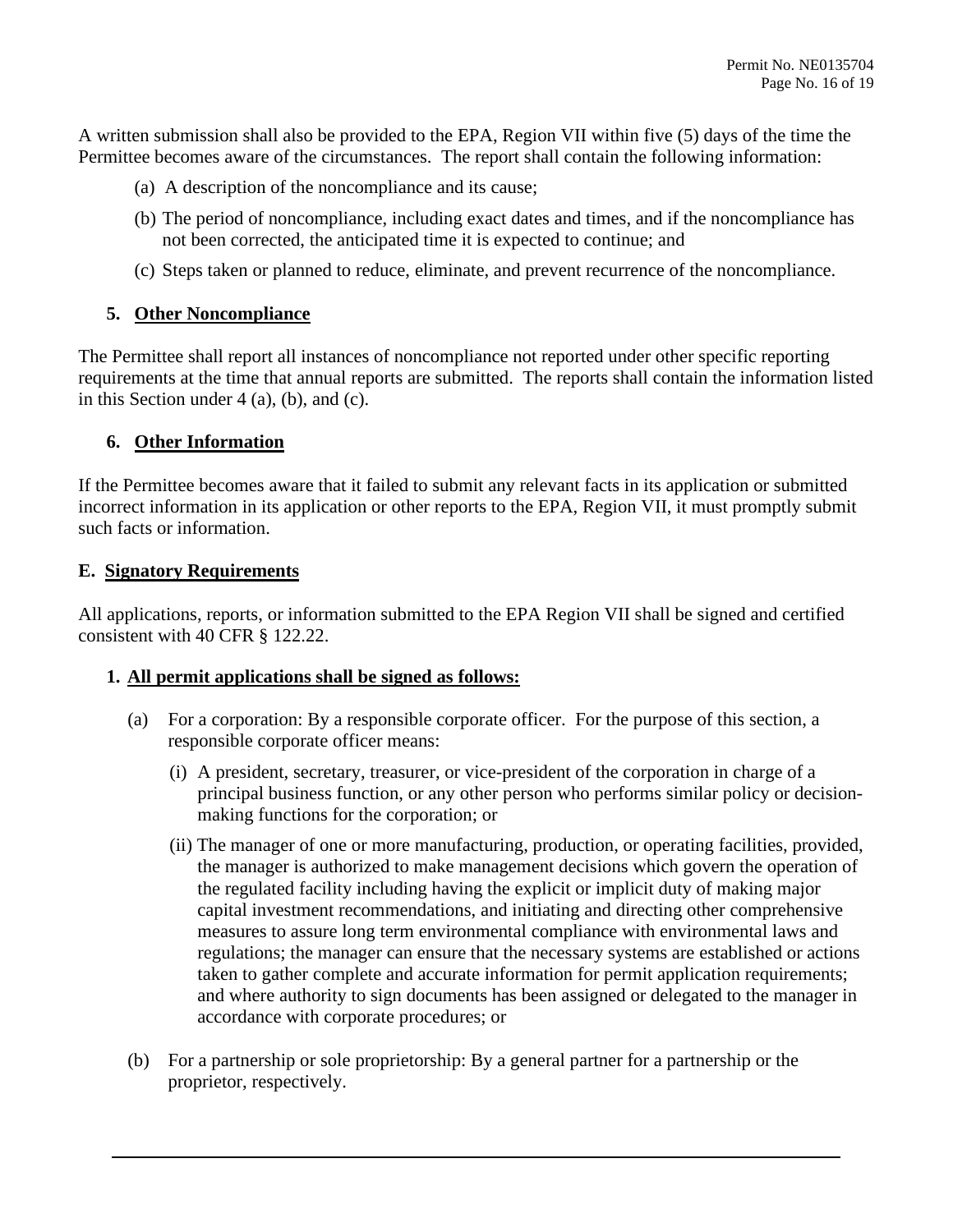A written submission shall also be provided to the EPA, Region VII within five (5) days of the time the Permittee becomes aware of the circumstances. The report shall contain the following information:

- (a) A description of the noncompliance and its cause;
- (b) The period of noncompliance, including exact dates and times, and if the noncompliance has not been corrected, the anticipated time it is expected to continue; and
- (c) Steps taken or planned to reduce, eliminate, and prevent recurrence of the noncompliance.

## **5. Other Noncompliance**

 in this Section under 4 (a), (b), and (c). The Permittee shall report all instances of noncompliance not reported under other specific reporting requirements at the time that annual reports are submitted. The reports shall contain the information listed

## **6. Other Information**

 incorrect information in its application or other reports to the EPA, Region VII, it must promptly submit If the Permittee becomes aware that it failed to submit any relevant facts in its application or submitted such facts or information.

## **E. Signatory Requirements**

 All applications, reports, or information submitted to the EPA Region VII shall be signed and certified consistent with 40 CFR § 122.22.

## **1. All permit applications shall be signed as follows:**

- (a) For a corporation: By a responsible corporate officer. For the purpose of this section, a responsible corporate officer means:
	- (i) A president, secretary, treasurer, or vice-president of the corporation in charge of a principal business function, or any other person who performs similar policy or decisionmaking functions for the corporation; or
	- taken to gather complete and accurate information for permit application requirements; (ii) The manager of one or more manufacturing, production, or operating facilities, provided, the manager is authorized to make management decisions which govern the operation of the regulated facility including having the explicit or implicit duty of making major capital investment recommendations, and initiating and directing other comprehensive measures to assure long term environmental compliance with environmental laws and regulations; the manager can ensure that the necessary systems are established or actions and where authority to sign documents has been assigned or delegated to the manager in accordance with corporate procedures; or
- (b) For a partnership or sole proprietorship: By a general partner for a partnership or the proprietor, respectively.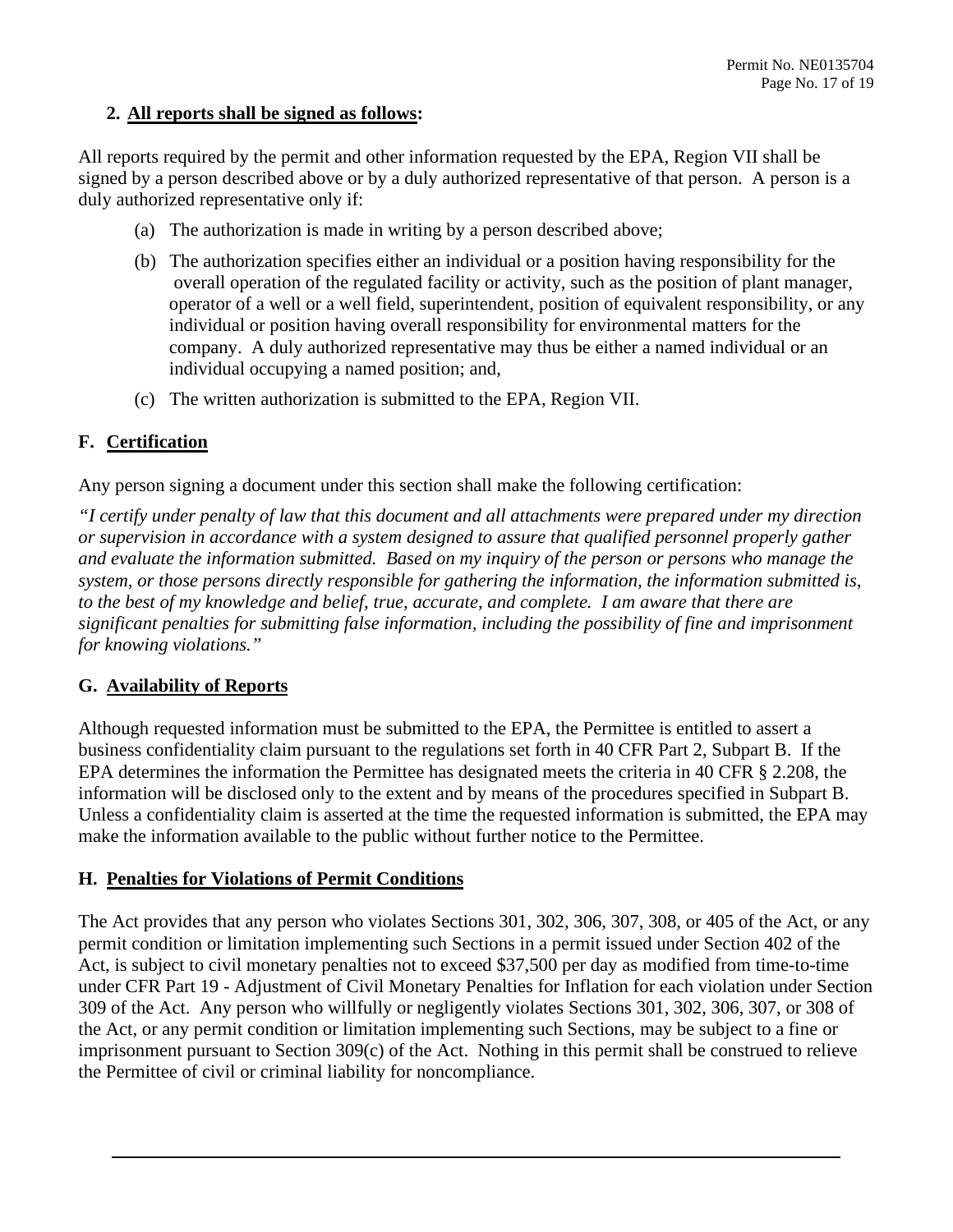## **2. All reports shall be signed as follows:**

 All reports required by the permit and other information requested by the EPA, Region VII shall be signed by a person described above or by a duly authorized representative of that person. A person is a duly authorized representative only if:

- (a) The authorization is made in writing by a person described above;
- operator of a well or a well field, superintendent, position of equivalent responsibility, or any (b) The authorization specifies either an individual or a position having responsibility for the overall operation of the regulated facility or activity, such as the position of plant manager, individual or position having overall responsibility for environmental matters for the company. A duly authorized representative may thus be either a named individual or an individual occupying a named position; and,
- (c) The written authorization is submitted to the EPA, Region VII.

## **F. Certification**

Any person signing a document under this section shall make the following certification:

*"I certify under penalty of law that this document and all attachments were prepared under my direction or supervision in accordance with a system designed to assure that qualified personnel properly gather and evaluate the information submitted. Based on my inquiry of the person or persons who manage the system, or those persons directly responsible for gathering the information, the information submitted is, to the best of my knowledge and belief, true, accurate, and complete. I am aware that there are significant penalties for submitting false information, including the possibility of fine and imprisonment for knowing violations."* 

## **G. Availability of Reports**

Although requested information must be submitted to the EPA, the Permittee is entitled to assert a business confidentiality claim pursuant to the regulations set forth in 40 CFR Part 2, Subpart B. If the EPA determines the information the Permittee has designated meets the criteria in 40 CFR § 2.208, the information will be disclosed only to the extent and by means of the procedures specified in Subpart B. Unless a confidentiality claim is asserted at the time the requested information is submitted, the EPA may make the information available to the public without further notice to the Permittee.

## **H. Penalties for Violations of Permit Conditions**

 the Act, or any permit condition or limitation implementing such Sections, may be subject to a fine or The Act provides that any person who violates Sections 301, 302, 306, 307, 308, or 405 of the Act, or any permit condition or limitation implementing such Sections in a permit issued under Section 402 of the Act, is subject to civil monetary penalties not to exceed \$37,500 per day as modified from time-to-time under CFR Part 19 - Adjustment of Civil Monetary Penalties for Inflation for each violation under Section 309 of the Act. Any person who willfully or negligently violates Sections 301, 302, 306, 307, or 308 of imprisonment pursuant to Section 309(c) of the Act. Nothing in this permit shall be construed to relieve the Permittee of civil or criminal liability for noncompliance.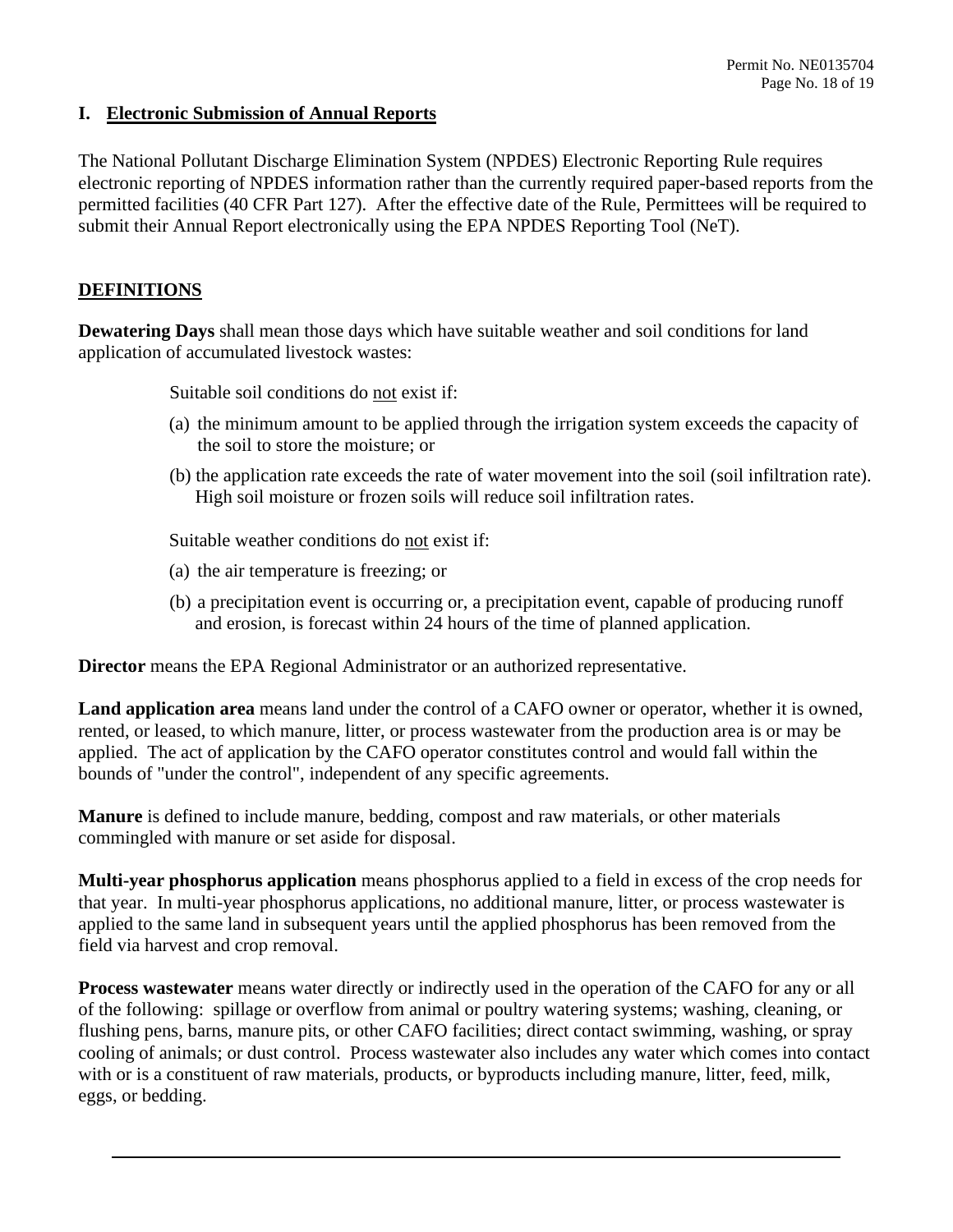## **I. Electronic Submission of Annual Reports**

 electronic reporting of NPDES information rather than the currently required paper-based reports from the permitted facilities (40 CFR Part 127). After the effective date of the Rule, Permittees will be required to The National Pollutant Discharge Elimination System (NPDES) Electronic Reporting Rule requires submit their Annual Report electronically using the EPA NPDES Reporting Tool (NeT).

## **DEFINITIONS**

**Dewatering Days** shall mean those days which have suitable weather and soil conditions for land application of accumulated livestock wastes:

Suitable soil conditions do not exist if:

- (a) the minimum amount to be applied through the irrigation system exceeds the capacity of the soil to store the moisture; or
- (b) the application rate exceeds the rate of water movement into the soil (soil infiltration rate). High soil moisture or frozen soils will reduce soil infiltration rates.

Suitable weather conditions do not exist if:

- (a) the air temperature is freezing; or
- (b) a precipitation event is occurring or, a precipitation event, capable of producing runoff and erosion, is forecast within 24 hours of the time of planned application.

**Director** means the EPA Regional Administrator or an authorized representative.

**Land application area** means land under the control of a CAFO owner or operator, whether it is owned, rented, or leased, to which manure, litter, or process wastewater from the production area is or may be applied. The act of application by the CAFO operator constitutes control and would fall within the bounds of "under the control", independent of any specific agreements.

 **Manure** is defined to include manure, bedding, compost and raw materials, or other materials commingled with manure or set aside for disposal.

**Multi-year phosphorus application** means phosphorus applied to a field in excess of the crop needs for that year. In multi-year phosphorus applications, no additional manure, litter, or process wastewater is applied to the same land in subsequent years until the applied phosphorus has been removed from the field via harvest and crop removal.

 of the following: spillage or overflow from animal or poultry watering systems; washing, cleaning, or **Process wastewater** means water directly or indirectly used in the operation of the CAFO for any or all flushing pens, barns, manure pits, or other CAFO facilities; direct contact swimming, washing, or spray cooling of animals; or dust control. Process wastewater also includes any water which comes into contact with or is a constituent of raw materials, products, or byproducts including manure, litter, feed, milk, eggs, or bedding.